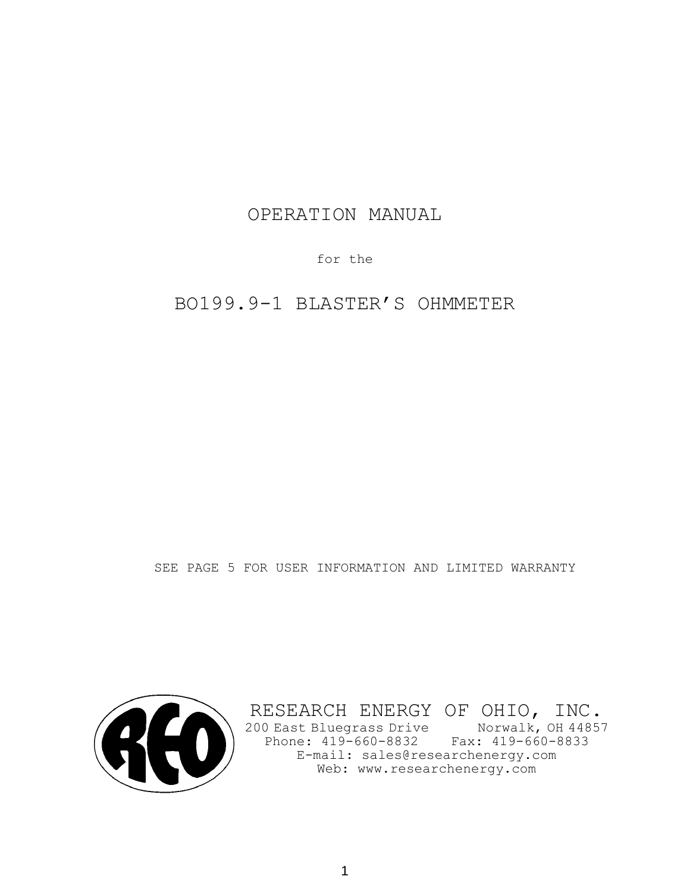# OPERATION MANUAL

for the

BO199.9-1 BLASTER'S OHMMETER

SEE PAGE 5 FOR USER INFORMATION AND LIMITED WARRANTY



RESEARCH ENERGY OF OHIO, INC. 200 East Bluegrass Drive Norwalk, OH 44857 Phone: 419-660-8832 Fax: 419-660-8833 E-mail: sales@researchenergy.com Web: www.researchenergy.com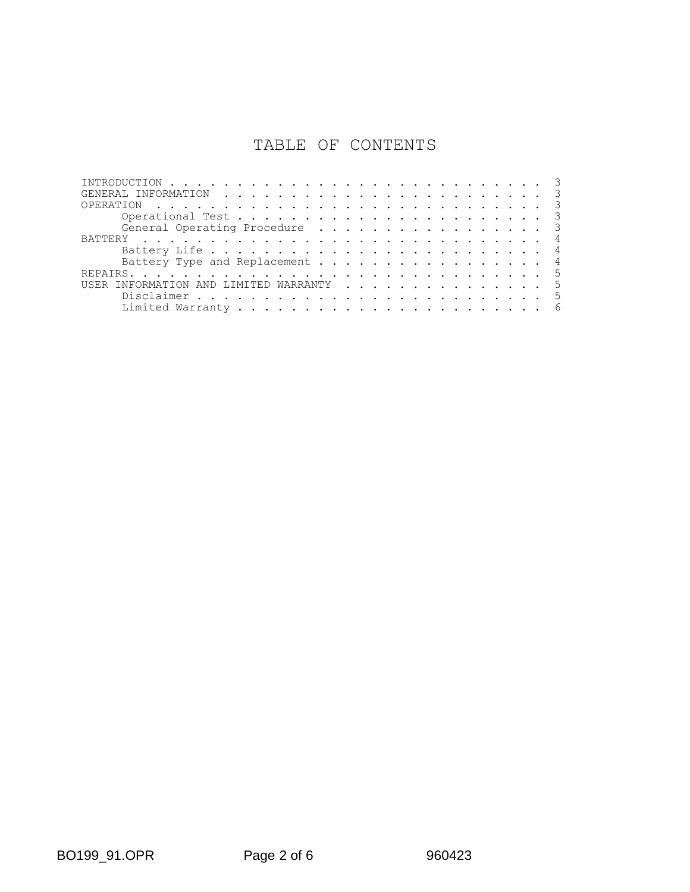# TABLE OF CONTENTS

| and the company of the company of the company of the company of the company of the company of the company of the company of the company of the company of the company of the company of the company of the company of the comp<br>OPERATION |     |
|---------------------------------------------------------------------------------------------------------------------------------------------------------------------------------------------------------------------------------------------|-----|
|                                                                                                                                                                                                                                             |     |
| General Operating Procedure                                                                                                                                                                                                                 |     |
|                                                                                                                                                                                                                                             |     |
|                                                                                                                                                                                                                                             |     |
| Battery Type and Replacement 4                                                                                                                                                                                                              |     |
|                                                                                                                                                                                                                                             |     |
| INFORMATION AND LIMITED WARRANTY                                                                                                                                                                                                            | - 5 |
|                                                                                                                                                                                                                                             | .5  |
|                                                                                                                                                                                                                                             | 6   |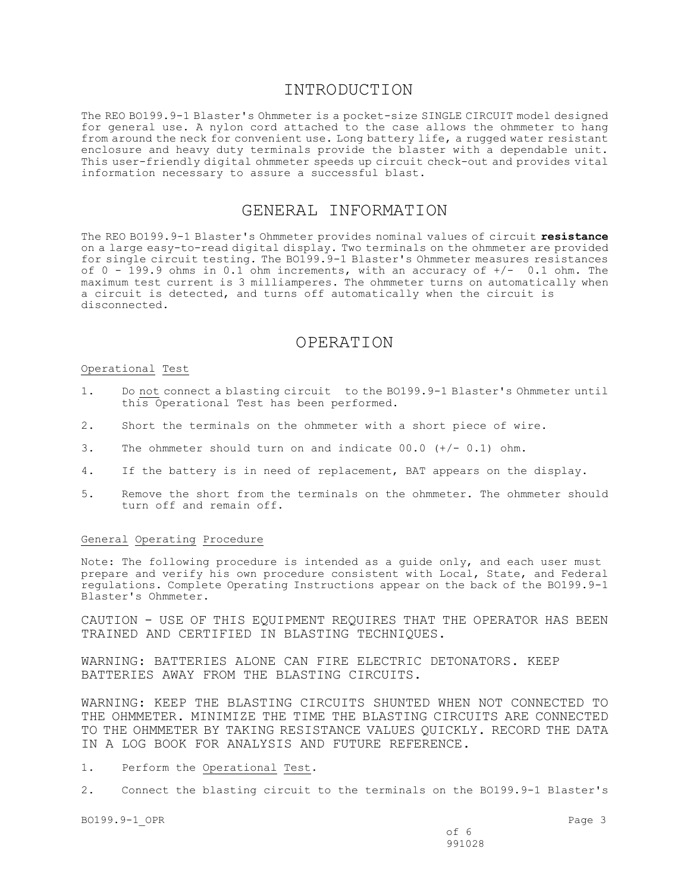## INTRODUCTION

The REO BO199.9-1 Blaster's Ohmmeter is a pocket-size SINGLE CIRCUIT model designed for general use. A nylon cord attached to the case allows the ohmmeter to hang from around the neck for convenient use. Long battery life, a rugged water resistant enclosure and heavy duty terminals provide the blaster with a dependable unit. This user-friendly digital ohmmeter speeds up circuit check-out and provides vital information necessary to assure a successful blast.

## GENERAL INFORMATION

The REO BO199.9-1 Blaster's Ohmmeter provides nominal values of circuit **resistance** on a large easy-to-read digital display. Two terminals on the ohmmeter are provided for single circuit testing. The BO199.9-1 Blaster's Ohmmeter measures resistances of  $0 - 199.9$  ohms in 0.1 ohm increments, with an accuracy of  $+/-$  0.1 ohm. The maximum test current is 3 milliamperes. The ohmmeter turns on automatically when a circuit is detected, and turns off automatically when the circuit is disconnected.

## OPERATION

#### Operational Test

- 1. Do not connect a blasting circuit to the BO199.9-1 Blaster's Ohmmeter until this Operational Test has been performed.
- 2. Short the terminals on the ohmmeter with a short piece of wire.
- 3. The ohmmeter should turn on and indicate 00.0 (+/- 0.1) ohm.
- 4. If the battery is in need of replacement, BAT appears on the display.
- 5. Remove the short from the terminals on the ohmmeter. The ohmmeter should turn off and remain off.

### General Operating Procedure

Note: The following procedure is intended as a guide only, and each user must prepare and verify his own procedure consistent with Local, State, and Federal regulations. Complete Operating Instructions appear on the back of the BO199.9-1 Blaster's Ohmmeter.

CAUTION - USE OF THIS EQUIPMENT REQUIRES THAT THE OPERATOR HAS BEEN TRAINED AND CERTIFIED IN BLASTING TECHNIQUES.

WARNING: BATTERIES ALONE CAN FIRE ELECTRIC DETONATORS. KEEP BATTERIES AWAY FROM THE BLASTING CIRCUITS.

WARNING: KEEP THE BLASTING CIRCUITS SHUNTED WHEN NOT CONNECTED TO THE OHMMETER. MINIMIZE THE TIME THE BLASTING CIRCUITS ARE CONNECTED TO THE OHMMETER BY TAKING RESISTANCE VALUES QUICKLY. RECORD THE DATA IN A LOG BOOK FOR ANALYSIS AND FUTURE REFERENCE.

1. Perform the Operational Test.

2. Connect the blasting circuit to the terminals on the BO199.9-1 Blaster's

BO199.9-1 OPR Page 3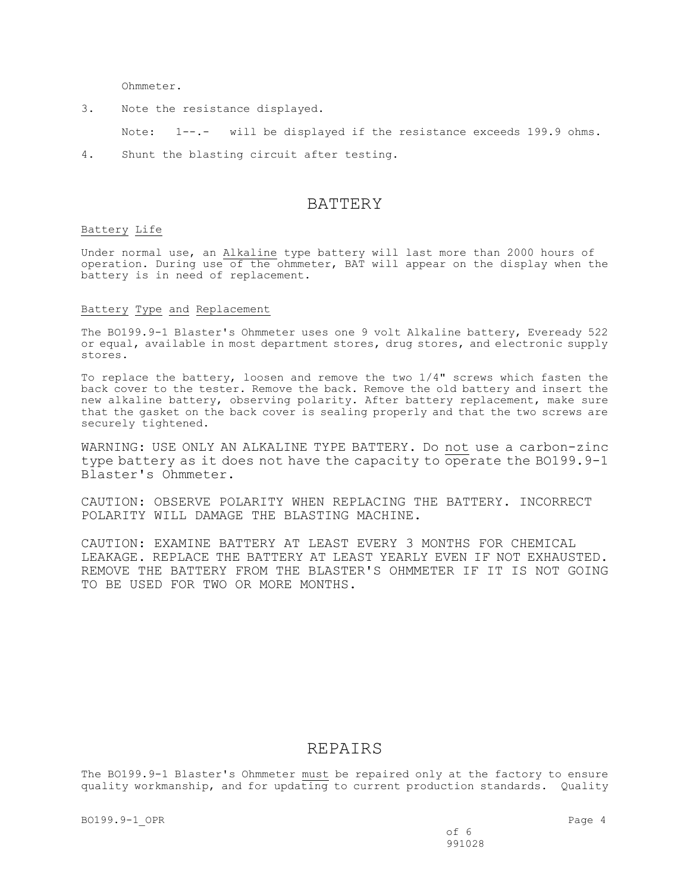Ohmmeter.

3. Note the resistance displayed.

Note: 1--.- will be displayed if the resistance exceeds 199.9 ohms.

4. Shunt the blasting circuit after testing.

## BATTERY

### Battery Life

Under normal use, an Alkaline type battery will last more than 2000 hours of operation. During use of the ohmmeter, BAT will appear on the display when the battery is in need of replacement.

#### Battery Type and Replacement

The BO199.9-1 Blaster's Ohmmeter uses one 9 volt Alkaline battery, Eveready 522 or equal, available in most department stores, drug stores, and electronic supply stores.

To replace the battery, loosen and remove the two 1/4" screws which fasten the back cover to the tester. Remove the back. Remove the old battery and insert the new alkaline battery, observing polarity. After battery replacement, make sure that the gasket on the back cover is sealing properly and that the two screws are securely tightened.

WARNING: USE ONLY AN ALKALINE TYPE BATTERY. Do not use a carbon-zinc type battery as it does not have the capacity to operate the BO199.9-1 Blaster's Ohmmeter.

CAUTION: OBSERVE POLARITY WHEN REPLACING THE BATTERY. INCORRECT POLARITY WILL DAMAGE THE BLASTING MACHINE.

CAUTION: EXAMINE BATTERY AT LEAST EVERY 3 MONTHS FOR CHEMICAL LEAKAGE. REPLACE THE BATTERY AT LEAST YEARLY EVEN IF NOT EXHAUSTED. REMOVE THE BATTERY FROM THE BLASTER'S OHMMETER IF IT IS NOT GOING TO BE USED FOR TWO OR MORE MONTHS.

## REPAIRS

The BO199.9-1 Blaster's Ohmmeter must be repaired only at the factory to ensure quality workmanship, and for updating to current production standards. Quality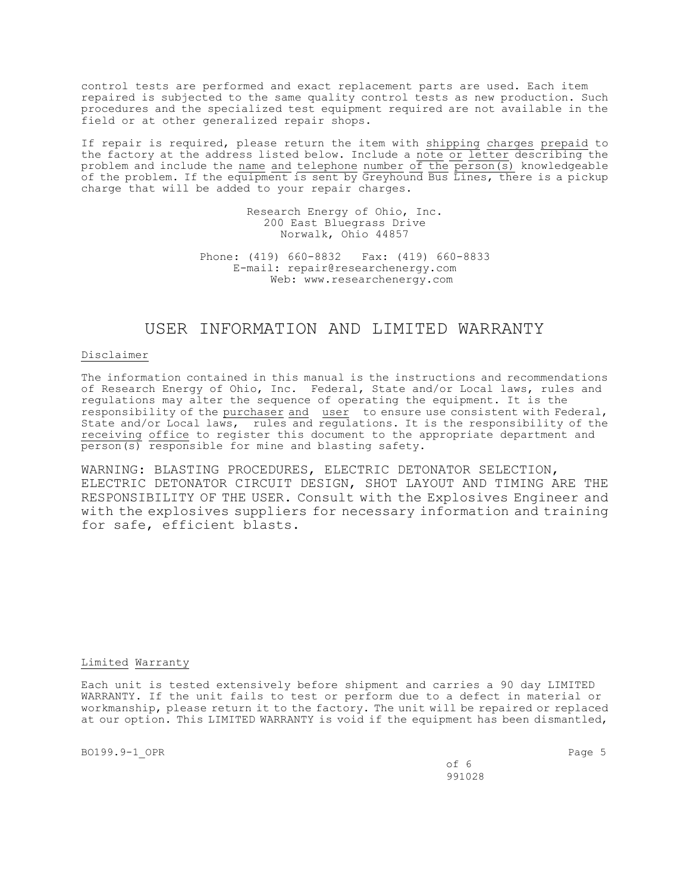control tests are performed and exact replacement parts are used. Each item repaired is subjected to the same quality control tests as new production. Such procedures and the specialized test equipment required are not available in the field or at other generalized repair shops.

If repair is required, please return the item with shipping charges prepaid to the factory at the address listed below. Include a note or letter describing the problem and include the name and telephone number of the  $\overline{person(s)}$  knowledgeable of the problem. If the equipment is sent by Greyhound Bus Lines, there is a pickup charge that will be added to your repair charges.

> Research Energy of Ohio, Inc. 200 East Bluegrass Drive Norwalk, Ohio 44857

Phone: (419) 660-8832 Fax: (419) 660-8833 E-mail: repair@researchenergy.com Web: www.researchenergy.com

# USER INFORMATION AND LIMITED WARRANTY

#### Disclaimer

The information contained in this manual is the instructions and recommendations of Research Energy of Ohio, Inc. Federal, State and/or Local laws, rules and regulations may alter the sequence of operating the equipment. It is the responsibility of the purchaser and user to ensure use consistent with Federal, State and/or Local laws, rules and regulations. It is the responsibility of the receiving office to register this document to the appropriate department and  $\overline{\text{person}(s)}$  responsible for mine and blasting safety.

WARNING: BLASTING PROCEDURES, ELECTRIC DETONATOR SELECTION, ELECTRIC DETONATOR CIRCUIT DESIGN, SHOT LAYOUT AND TIMING ARE THE RESPONSIBILITY OF THE USER. Consult with the Explosives Engineer and with the explosives suppliers for necessary information and training for safe, efficient blasts.

#### Limited Warranty

Each unit is tested extensively before shipment and carries a 90 day LIMITED WARRANTY. If the unit fails to test or perform due to a defect in material or workmanship, please return it to the factory. The unit will be repaired or replaced at our option. This LIMITED WARRANTY is void if the equipment has been dismantled,

BO199.9-1 OPR Page 5

of 6 991028